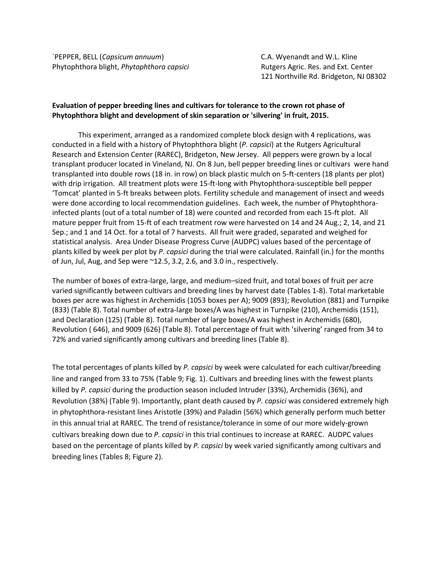`PEPPER, BELL (*Capsicum annuum*) C.A. Wyenandt and W.L. Kline Phytophthora blight, *Phytophthora capsici* **Rutgers Agric. Res. and Ext. Center** 

121 Northville Rd. Bridgeton, NJ 08302

## **Evaluation of pepper breeding lines and cultivars for tolerance to the crown rot phase of Phytophthora blight and development of skin separation or 'silvering' in fruit, 2015.**

This experiment, arranged as a randomized complete block design with 4 replications, was conducted in a field with a history of Phytophthora blight (*P. capsici*) at the Rutgers Agricultural Research and Extension Center (RAREC), Bridgeton, New Jersey. All peppers were grown by a local transplant producer located in Vineland, NJ. On 8 Jun, bell pepper breeding lines or cultivars were hand transplanted into double rows (18 in. in row) on black plastic mulch on 5-ft-centers (18 plants per plot) with drip irrigation. All treatment plots were 15-ft-long with Phytophthora-susceptible bell pepper 'Tomcat' planted in 5-ft breaks between plots. Fertility schedule and management of insect and weeds were done according to local recommendation guidelines. Each week, the number of Phytophthorainfected plants (out of a total number of 18) were counted and recorded from each 15-ft plot. All mature pepper fruit from 15-ft of each treatment row were harvested on 14 and 24 Aug.; 2, 14, and 21 Sep.; and 1 and 14 Oct. for a total of 7 harvests. All fruit were graded, separated and weighed for statistical analysis. Area Under Disease Progress Curve (AUDPC) values based of the percentage of plants killed by week per plot by *P. capsici* during the trial were calculated. Rainfall (in.) for the months of Jun, Jul, Aug, and Sep were ~12.5, 3.2, 2.6, and 3.0 in., respectively.

The number of boxes of extra-large, large, and medium–sized fruit, and total boxes of fruit per acre varied significantly between cultivars and breeding lines by harvest date (Tables 1-8). Total marketable boxes per acre was highest in Archemidis (1053 boxes per A); 9009 (893); Revolution (881) and Turnpike (833) (Table 8). Total number of extra-large boxes/A was highest in Turnpike (210), Archemidis (151), and Declaration (125) (Table 8). Total number of large boxes/A was highest in Archemidis (680), Revolution ( 646), and 9009 (626) (Table 8). Total percentage of fruit with 'silvering' ranged from 34 to 72% and varied significantly among cultivars and breeding lines (Table 8).

The total percentages of plants killed by *P. capsici* by week were calculated for each cultivar/breeding line and ranged from 33 to 75% (Table 9; Fig. 1). Cultivars and breeding lines with the fewest plants killed by *P. capsici* during the production season included Intruder (33%), Archemidis (36%), and Revolution (38%) (Table 9). Importantly, plant death caused by *P. capsici* was considered extremely high in phytophthora-resistant lines Aristotle (39%) and Paladin (56%) which generally perform much better in this annual trial at RAREC. The trend of resistance/tolerance in some of our more widely-grown cultivars breaking down due to *P. capsici* in this trial continues to increase at RAREC. AUDPC values based on the percentage of plants killed by *P. capsici* by week varied significantly among cultivars and breeding lines (Tables 8; Figure 2).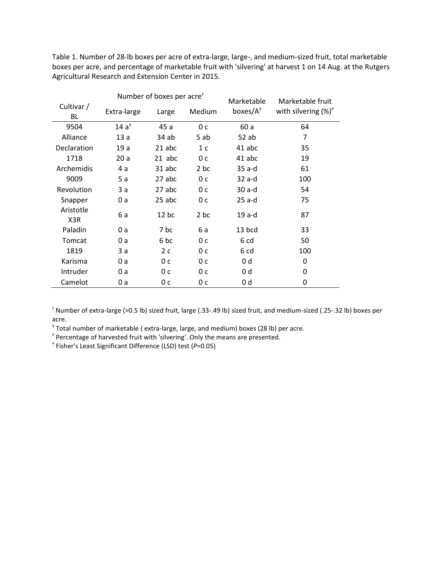Table 1. Number of 28-lb boxes per acre of extra-large, large-, and medium-sized fruit, total marketable boxes per acre, and percentage of marketable fruit with 'silvering' at harvest 1 on 14 Aug. at the Rutgers Agricultural Research and Extension Center in 2015.

|                  |             | Number of boxes per acre <sup>2</sup> |                | Marketable   | Marketable fruit        |  |  |
|------------------|-------------|---------------------------------------|----------------|--------------|-------------------------|--|--|
| Cultivar /<br>BL | Extra-large | Large                                 | Medium         | boxes/ $A^y$ | with silvering $(\%)^x$ |  |  |
| 9504             | $14a^v$     | 45 a                                  | 0 <sub>c</sub> | 60 a         | 64                      |  |  |
| Alliance         | 13a         | 34 ab                                 | 5 ab           | 52 ab        | 7                       |  |  |
| Declaration      | 19a         | 21 abc                                | 1 <sup>c</sup> | 41 abc       | 35                      |  |  |
| 1718             | 20a         | 21 abc                                | 0 <sub>c</sub> | 41 abc       | 19                      |  |  |
| Archemidis       | 4 a         | 31 abc                                | 2 bc           | 35 a-d       | 61                      |  |  |
| 9009             | 5 a         | 27 abc                                | 0 <sub>c</sub> | $32$ a-d     | 100                     |  |  |
| Revolution       | 3 a         | 27 abc                                | 0 <sub>c</sub> | $30a-d$      | 54                      |  |  |
| Snapper          | 0 a         | 25 abc                                | 0 c            | $25$ a-d     | 75                      |  |  |
| Aristotle<br>X3R | 6а          | $12$ bc                               | 2 bc           | $19a-d$      | 87                      |  |  |
| Paladin          | 0a          | 7 bc                                  | 6 a            | 13 bcd       | 33                      |  |  |
| Tomcat           | 0 a         | 6 bc                                  | 0 c            | 6 cd         | 50                      |  |  |
| 1819             | 3a          | 2c                                    | 0 с            | 6 cd         | 100                     |  |  |
| Karisma          | 0 a         | 0 с                                   | 0c             | 0 d          | 0                       |  |  |
| Intruder         | 0 a         | 0 с                                   | 0 c            | 0 d          | 0                       |  |  |
| Camelot          | 0 a         | 0 с                                   | 0 c            | 0 d          | 0                       |  |  |

<sup>z</sup> Number of extra-large (>0.5 lb) sized fruit, large (.33-.49 lb) sized fruit, and medium-sized (.25-.32 lb) boxes per acre.<br><sup>y</sup> Total number of marketable (extra-large, large, and medium) boxes (28 lb) per acre.

<sup>x</sup> Percentage of harvested fruit with 'silvering'. Only the means are presented.<br><sup>Y</sup> Fisher's Least Significant Difference (LSD) test (*P*=0.05)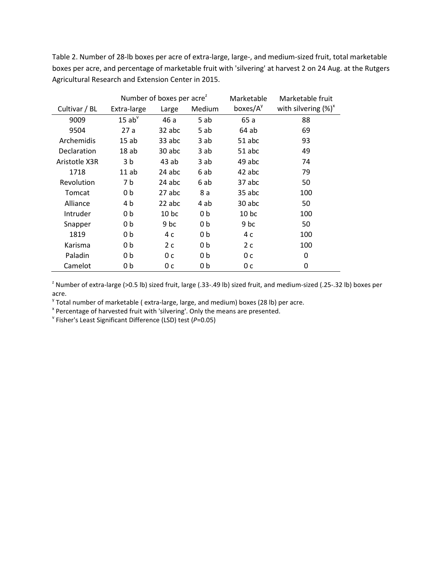Table 2. Number of 28-lb boxes per acre of extra-large, large-, and medium-sized fruit, total marketable boxes per acre, and percentage of marketable fruit with 'silvering' at harvest 2 on 24 Aug. at the Rutgers Agricultural Research and Extension Center in 2015.

|               |                | Number of boxes per acre <sup>2</sup> |                | Marketable          | Marketable fruit        |
|---------------|----------------|---------------------------------------|----------------|---------------------|-------------------------|
| Cultivar / BL | Extra-large    | Large                                 | Medium         | boxes/ $A^{\gamma}$ | with silvering $(\%)^x$ |
| 9009          | $15$ ab $9$    | 46 a                                  | 5 ab           | 65 a                | 88                      |
| 9504          | 27a            | 32 abc                                | 5 ab           | 64 ab               | 69                      |
| Archemidis    | 15ab           | 33 abc                                | 3 ab           | 51 abc              | 93                      |
| Declaration   | 18ab           | 30 abc                                | 3 ab           | 51 abc              | 49                      |
| Aristotle X3R | 3 b            | 43 ab                                 | 3 ab           | 49 abc              | 74                      |
| 1718          | 11 ab          | 24 abc                                | 6 ab           | 42 abc              | 79                      |
| Revolution    | 7 b            | 24 abc                                | 6 ab           | 37 abc              | 50                      |
| Tomcat        | 0 <sub>b</sub> | 27 abc                                | 8 a            | 35 abc              | 100                     |
| Alliance      | 4 b            | 22 abc                                | 4 ab           | 30 abc              | 50                      |
| Intruder      | 0b             | 10 <sub>bc</sub>                      | 0 <sub>b</sub> | 10 <sub>bc</sub>    | 100                     |
| Snapper       | 0b             | 9 bc                                  | 0b             | 9 bc                | 50                      |
| 1819          | 0b             | 4 c                                   | 0b             | 4 c                 | 100                     |
| Karisma       | 0b             | 2c                                    | 0 <sub>b</sub> | 2c                  | 100                     |
| Paladin       | 0b             | 0 <sup>c</sup>                        | 0 <sub>b</sub> | 0 <sub>c</sub>      | 0                       |
| Camelot       | 0 b            | 0 c                                   | 0b             | 0 c                 | 0                       |

<sup>z</sup> Number of extra-large (>0.5 lb) sized fruit, large (.33-.49 lb) sized fruit, and medium-sized (.25-.32 lb) boxes per acre.

<sup>y</sup> Total number of marketable (extra-large, large, and medium) boxes (28 lb) per acre.<br>
<sup>\*</sup> Percentage of harvested fruit with 'silvering'. Only the means are presented.<br>
<sup>\*</sup> Fisher's Least Significant Difference (LSD) t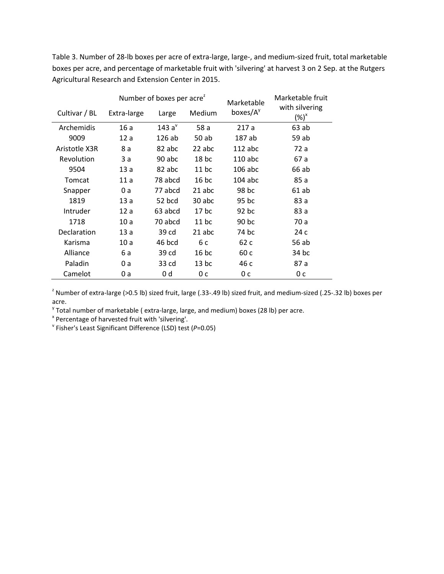Table 3. Number of 28-lb boxes per acre of extra-large, large-, and medium-sized fruit, total marketable boxes per acre, and percentage of marketable fruit with 'silvering' at harvest 3 on 2 Sep. at the Rutgers Agricultural Research and Extension Center in 2015.

|               |             | Number of boxes per acre <sup>2</sup> |         | Marketable           | Marketable fruit                  |
|---------------|-------------|---------------------------------------|---------|----------------------|-----------------------------------|
| Cultivar / BL | Extra-large | Medium<br>Large                       |         | boxes/A <sup>y</sup> | with silvering<br>$(\%)^{\times}$ |
| Archemidis    | 16a         | 143a <sup>v</sup>                     | 58 a    | 217a                 | 63ab                              |
| 9009          | 12a         | 126ab                                 | 50 ab   | 187 ab               | 59 ab                             |
| Aristotle X3R | 8 a         | 82 abc                                | 22 abc  | $112$ abc            | 72 a                              |
| Revolution    | 3 a         | 90 abc                                | $18$ bc | $110$ abc            | 67 a                              |
| 9504          | 13a         | 82 abc                                | $11$ bc | $106$ abc            | 66 ab                             |
| Tomcat        | 11a         | 78 abcd                               | $16$ bc | $104$ abc            | 85 a                              |
| Snapper       | 0 a         | 77 abcd                               | 21 abc  | 98 bc                | 61 ab                             |
| 1819          | 13a         | 52 bcd                                | 30 abc  | 95 bc                | 83 a                              |
| Intruder      | 12a         | 63 abcd                               | $17$ bc | $92$ bc              | 83 a                              |
| 1718          | 10a         | 70 abcd                               | $11$ bc | 90 bc                | 70 a                              |
| Declaration   | 13a         | 39 cd                                 | 21 abc  | 74 bc                | 24 c                              |
| Karisma       | 10a         | 46 bcd                                | 6 c     | 62 c                 | 56 ab                             |
| Alliance      | 6 a         | 39 cd                                 | $16$ bc | 60 c                 | 34 bc                             |
| Paladin       | 0 a         | 33 cd                                 | $13$ bc | 46 с                 | 87 a                              |
| Camelot       | 0 a         | 0 d                                   | 0 с     | 0 c                  | 0 с                               |

<sup>2</sup> Number of extra-large (>0.5 lb) sized fruit, large (.33-.49 lb) sized fruit, and medium-sized (.25-.32 lb) boxes per acre.

<sup>y</sup> Total number of marketable ( extra-large, large, and medium) boxes (28 lb) per acre.<br><sup>x</sup> Percentage of harvested fruit with 'silvering'.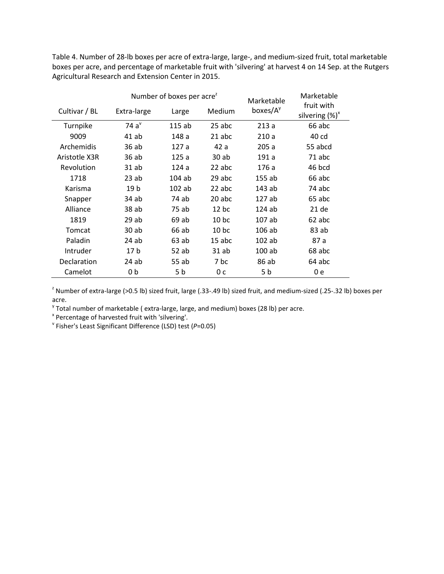Table 4. Number of 28-lb boxes per acre of extra-large, large-, and medium-sized fruit, total marketable boxes per acre, and percentage of marketable fruit with 'silvering' at harvest 4 on 14 Sep. at the Rutgers Agricultural Research and Extension Center in 2015.

|               |                      | Number of boxes per acre <sup>2</sup> | Marketable       | Marketable           |                                  |
|---------------|----------------------|---------------------------------------|------------------|----------------------|----------------------------------|
| Cultivar / BL | Extra-large<br>Large |                                       | Medium           | boxes/A <sup>y</sup> | fruit with<br>silvering $(\%)^x$ |
| Turnpike      | 74a <sup>v</sup>     | 115ab                                 | 25 abc           | 213a                 | 66 abc                           |
| 9009          | $41$ ab              | 148 a                                 | 21 abc           | 210a                 | 40 cd                            |
| Archemidis    | 36 ab                | 127 a                                 | 42 a             | 205a                 | 55 abcd                          |
| Aristotle X3R | 36 ab                | 125a                                  | 30ab             | 191 a                | 71 abc                           |
| Revolution    | $31$ ab              | 124a                                  | 22 abc           | 176 a                | 46 bcd                           |
| 1718          | 23ab                 | $104$ ab                              | 29 abc           | 155 ab               | 66 abc                           |
| Karisma       | 19 b                 | $102$ ab                              | 22 abc           | 143 ab               | 74 abc                           |
| Snapper       | 34 ab                | 74 ab                                 | 20 abc           | 127ab                | 65 abc                           |
| Alliance      | 38 ab                | 75 ab                                 | $12$ bc          | $124$ ab             | 21 de                            |
| 1819          | 29ab                 | 69 ab                                 | 10 <sub>bc</sub> | 107 ab               | 62 abc                           |
| Tomcat        | $30$ ab              | 66 ab                                 | 10 <sub>bc</sub> | $106$ ab             | 83 ab                            |
| Paladin       | 24 ab                | 63ab                                  | $15$ abc         | $102$ ab             | 87 a                             |
| Intruder      | 17 <sub>b</sub>      | 52 ab                                 | 31 ab            | $100$ ab             | 68 abc                           |
| Declaration   | 24 ab                | 55 ab                                 | 7 bc             | 86 ab                | 64 abc                           |
| Camelot       | 0 b                  | 5 b                                   | 0 с              | 5 b                  | 0 e                              |

<sup>z</sup> Number of extra-large (>0.5 lb) sized fruit, large (.33-.49 lb) sized fruit, and medium-sized (.25-.32 lb) boxes per acre.

<sup>y</sup> Total number of marketable ( extra-large, large, and medium) boxes (28 lb) per acre.<br><sup>x</sup> Percentage of harvested fruit with 'silvering'.<br><sup>v</sup> Fisher's Least Significant Difference (LSD) test (*P*=0.05)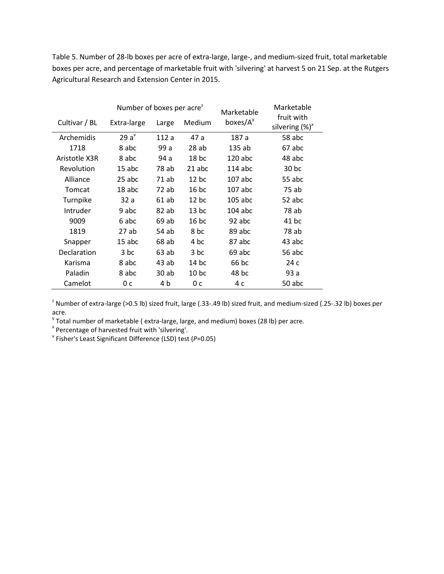Table 5. Number of 28-lb boxes per acre of extra-large, large-, and medium-sized fruit, total marketable boxes per acre, and percentage of marketable fruit with 'silvering' at harvest 5 on 21 Sep. at the Rutgers Agricultural Research and Extension Center in 2015.

|               | Number of boxes per acre <sup>2</sup> |                 |                  | Marketable           | Marketable                       |
|---------------|---------------------------------------|-----------------|------------------|----------------------|----------------------------------|
| Cultivar / BL | Extra-large                           | Medium<br>Large |                  | boxes/A <sup>y</sup> | fruit with<br>silvering $(\%)^x$ |
| Archemidis    | $29a^v$                               | 112 a           | 47 a             | 187 a                | 58 abc                           |
| 1718          | 8 abc                                 | 99 a            | 28ab             | 135ab                | 67 abc                           |
| Aristotle X3R | 8 abc                                 | 94 a            | 18 <sub>bc</sub> | $120$ abc            | 48 abc                           |
| Revolution    | $15$ abc                              | 78 ab           | $21$ abc         | $114$ abc            | 30 <sub>bc</sub>                 |
| Alliance      | 25 abc                                | 71 ab           | $12$ bc          | $107$ abc            | 55 abc                           |
| Tomcat        | 18 abc                                | 72 ab           | $16$ bc          | 107 abc              | 75 ab                            |
| Turnpike      | 32 a                                  | 61 ab           | $12$ bc          | $105$ abc            | 52 abc                           |
| Intruder      | 9 abc                                 | 82 ab           | $13$ bc          | $104$ abc            | 78 ab                            |
| 9009          | 6 abc                                 | 69 ab           | $16$ bc          | 92 abc               | 41 bc                            |
| 1819          | 27 ab                                 | 54 ab           | 8 bc             | 89 abc               | 78 ab                            |
| Snapper       | 15 abc                                | 68 ab           | 4 bc             | 87 abc               | 43 abc                           |
| Declaration   | 3 bc                                  | 63ab            | 3 bc             | 69 abc               | 56 abc                           |
| Karisma       | 8 abc                                 | 43 ab           | $14$ bc          | 66 bc                | 24 c                             |
| Paladin       | 8 abc                                 | 30 ab           | 10 <sub>bc</sub> | 48 bc                | 93 a                             |
| Camelot       | 0 с                                   | 4 b             | 0 с              | 4 c                  | 50 abc                           |

<sup>z</sup> Number of extra-large (>0.5 lb) sized fruit, large (.33-.49 lb) sized fruit, and medium-sized (.25-.32 lb) boxes per acre.

<sup>y</sup> Total number of marketable ( extra-large, large, and medium) boxes (28 lb) per acre.  $x^*$  Percentage of harvested fruit with 'silvering'.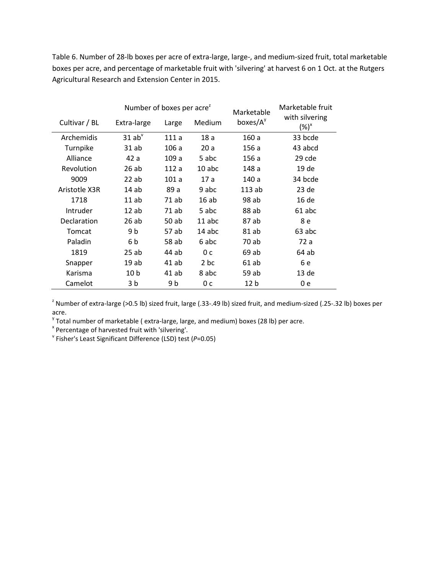Table 6. Number of 28-lb boxes per acre of extra-large, large-, and medium-sized fruit, total marketable boxes per acre, and percentage of marketable fruit with 'silvering' at harvest 6 on 1 Oct. at the Rutgers Agricultural Research and Extension Center in 2015.

|               | Number of boxes per acre <sup>2</sup> |                 |                | Marketable           | Marketable fruit                  |  |  |
|---------------|---------------------------------------|-----------------|----------------|----------------------|-----------------------------------|--|--|
| Cultivar / BL | Extra-large                           | Medium<br>Large |                | boxes/A <sup>y</sup> | with silvering<br>$(\%)^{\times}$ |  |  |
| Archemidis    | $31$ ab <sup><math>v</math></sup>     | 111 a           | 18a            | 160a                 | 33 bcde                           |  |  |
| Turnpike      | 31 ab                                 | 106a            | 20a            | 156a                 | 43 abcd                           |  |  |
| Alliance      | 42 a                                  | 109a            | 5 abc          | 156 a                | 29 cde                            |  |  |
| Revolution    | 26ab                                  | 112 a           | $10$ abc       | 148 a                | 19 de                             |  |  |
| 9009          | 22ab                                  | 101 a           | 17a            | 140 a                | 34 bcde                           |  |  |
| Aristotle X3R | 14 ab                                 | 89 a            | 9 abc          | 113ab                | $23$ de                           |  |  |
| 1718          | $11$ ab                               | 71 ab           | 16ab           | 98 ab                | 16 de                             |  |  |
| Intruder      | 12ab                                  | 71 ab           | 5 abc          | 88 ab                | 61 abc                            |  |  |
| Declaration   | 26ab                                  | 50 ab           | 11 abc         | 87 ab                | 8 e                               |  |  |
| Tomcat        | 9 b                                   | 57 ab           | 14 abc         | 81 ab                | 63 abc                            |  |  |
| Paladin       | 6 b                                   | 58 ab           | 6 abc          | 70 ab                | 72 a                              |  |  |
| 1819          | 25ab                                  | 44 ab           | 0 <sup>c</sup> | 69 ab                | 64 ab                             |  |  |
| Snapper       | 19ab                                  | 41 ab           | 2 bc           | 61 ab                | 6 e                               |  |  |
| Karisma       | 10 <sub>b</sub>                       | $41$ ab         | 8 abc          | 59 ab                | 13 <sub>de</sub>                  |  |  |
| Camelot       | 3 b                                   | 9 b             | 0 c            | 12 <sub>b</sub>      | 0 e                               |  |  |

<sup>z</sup> Number of extra-large (>0.5 lb) sized fruit, large (.33-.49 lb) sized fruit, and medium-sized (.25-.32 lb) boxes per acre.

<sup>y</sup> Total number of marketable ( extra-large, large, and medium) boxes (28 lb) per acre.  $x^*$  Percentage of harvested fruit with 'silvering'.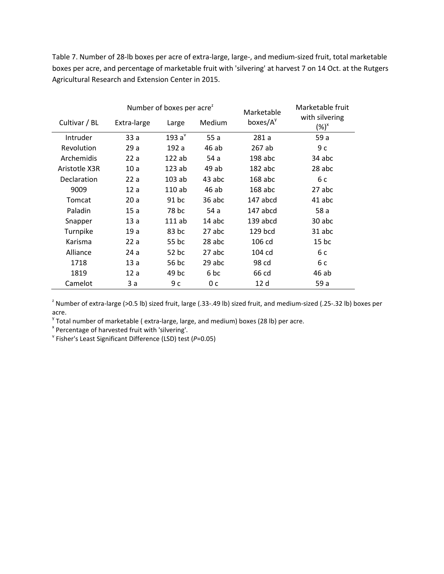Table 7. Number of 28-lb boxes per acre of extra-large, large-, and medium-sized fruit, total marketable boxes per acre, and percentage of marketable fruit with 'silvering' at harvest 7 on 14 Oct. at the Rutgers Agricultural Research and Extension Center in 2015.

|                    |             | Number of boxes per acre <sup>2</sup> |        | Marketable           | Marketable fruit                  |
|--------------------|-------------|---------------------------------------|--------|----------------------|-----------------------------------|
| Cultivar / BL      | Extra-large | Large                                 | Medium | boxes/A <sup>y</sup> | with silvering<br>$(\%)^{\times}$ |
| Intruder           | 33 a        | 193 $a^v$                             | 55a    | 281a                 | 59 a                              |
| Revolution         | 29a         | 192 a                                 | 46 ab  | 267 ab               | 9с                                |
| Archemidis         | 22a         | 122ab                                 | 54 a   | $198$ abc            | 34 abc                            |
| Aristotle X3R      | 10a         | 123ab                                 | 49 ab  | $182$ abc            | 28 abc                            |
| <b>Declaration</b> | 22a         | $103$ ab                              | 43 abc | $168$ abc            | 6 c                               |
| 9009               | 12a         | 110ab                                 | 46 ab  | $168$ abc            | 27 abc                            |
| Tomcat             | 20a         | 91 bc                                 | 36 abc | 147 abcd             | 41 abc                            |
| Paladin            | 15 a        | 78 bc                                 | 54 a   | 147 abcd             | 58 a                              |
| Snapper            | 13a         | $111$ ab                              | 14 abc | 139 abcd             | 30 abc                            |
| Turnpike           | 19 a        | 83 bc                                 | 27 abc | 129 bcd              | 31 abc                            |
| Karisma            | 22a         | 55 bc                                 | 28 abc | 106 cd               | $15$ bc                           |
| Alliance           | 24 a        | 52 bc                                 | 27 abc | 104 cd               | 6 c                               |
| 1718               | 13a         | 56 bc                                 | 29 abc | 98 cd                | 6 с                               |
| 1819               | 12a         | 49 bc                                 | 6 bc   | 66 cd                | 46 ab                             |
| Camelot            | 3a          | 9c                                    | 0 с    | 12 d                 | 59 a                              |

<sup>2</sup> Number of extra-large (>0.5 lb) sized fruit, large (.33-.49 lb) sized fruit, and medium-sized (.25-.32 lb) boxes per acre.

<sup>y</sup> Total number of marketable ( extra-large, large, and medium) boxes (28 lb) per acre.  $x^*$  Percentage of harvested fruit with 'silvering'.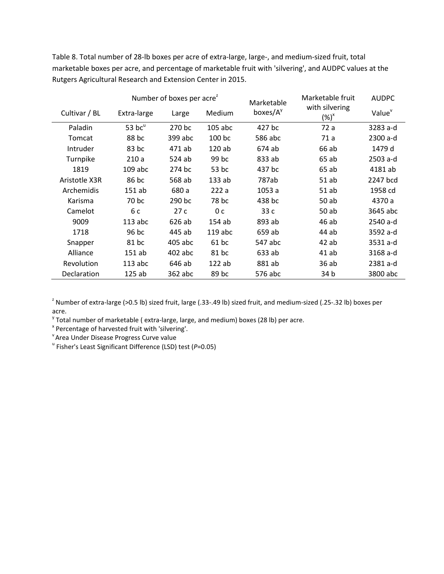Table 8. Total number of 28-lb boxes per acre of extra-large, large-, and medium-sized fruit, total marketable boxes per acre, and percentage of marketable fruit with 'silvering', and AUDPC values at the Rutgers Agricultural Research and Extension Center in 2015.

|               | Number of boxes per acre <sup>2</sup> |         |                |                                    | Marketable fruit                  | <b>AUDPC</b>       |  |  |
|---------------|---------------------------------------|---------|----------------|------------------------------------|-----------------------------------|--------------------|--|--|
| Cultivar / BL | Extra-large                           | Large   | Medium         | Marketable<br>boxes/A <sup>y</sup> | with silvering<br>$(\%)^{\times}$ | Value <sup>v</sup> |  |  |
| Paladin       | 53 $bc^u$                             | 270 bc  | $105$ abc      | 427 bc                             | 72 a                              | 3283 a-d           |  |  |
| Tomcat        | 88 bc                                 | 399 abc | 100 bc         | 586 abc                            | 71 a                              | 2300 a-d           |  |  |
| Intruder      | 83 bc                                 | 471 ab  | 120ab          | 674 ab                             | 66 ab                             | 1479 d             |  |  |
| Turnpike      | 210a                                  | 524 ab  | 99 bc          | 833 ab                             | 65 ab                             | 2503 a-d           |  |  |
| 1819          | $109$ abc                             | 274 bc  | 53 bc          | 437 bc                             | 65 ab                             | 4181 ab            |  |  |
| Aristotle X3R | 86 bc                                 | 568 ab  | 133ab          | 787ab                              | 51 ab                             | 2247 bcd           |  |  |
| Archemidis    | 151 ab                                | 680 a   | 222a           | 1053a                              | 51 ab                             | 1958 cd            |  |  |
| Karisma       | 70 bc                                 | 290 bc  | 78 bc          | 438 bc                             | 50 ab                             | 4370 a             |  |  |
| Camelot       | 6 c                                   | 27c     | 0 <sub>c</sub> | 33c                                | 50 ab                             | 3645 abc           |  |  |
| 9009          | $113$ abc                             | 626 ab  | 154 ab         | 893 ab                             | 46 ab                             | 2540 a-d           |  |  |
| 1718          | 96 bc                                 | 445 ab  | $119$ abc      | 659 ab                             | 44 ab                             | 3592 a-d           |  |  |
| Snapper       | 81 bc                                 | 405 abc | 61 bc          | 547 abc                            | $42$ ab                           | 3531 a-d           |  |  |
| Alliance      | $151$ ab                              | 402 abc | 81 bc          | 633 ab                             | $41$ ab                           | 3168 a-d           |  |  |
| Revolution    | $113$ abc                             | 646 ab  | 122ab          | 881 ab                             | 36 ab                             | 2381 a-d           |  |  |
| Declaration   | 125ab                                 | 362 abc | 89 bc          | 576 abc                            | 34 b                              | 3800 abc           |  |  |

<sup>z</sup> Number of extra-large (>0.5 lb) sized fruit, large (.33-.49 lb) sized fruit, and medium-sized (.25-.32 lb) boxes per acre.

 $y$  Total number of marketable ( extra-large, large, and medium) boxes (28 lb) per acre.

<sup>x</sup> Percentage of harvested fruit with 'silvering'.<br><sup>Y</sup> Area Under Disease Progress Curve value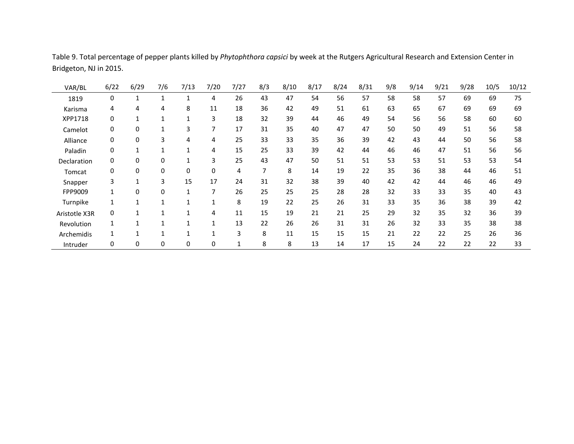| VAR/BL        | 6/22         | 6/29     | 7/6 | 7/13 | 7/20 | 7/27 | 8/3 | 8/10 | 8/17 | 8/24 | 8/31 | 9/8 | 9/14 | 9/21 | 9/28 | 10/5 | 10/12 |
|---------------|--------------|----------|-----|------|------|------|-----|------|------|------|------|-----|------|------|------|------|-------|
| 1819          | 0            |          |     |      | 4    | 26   | 43  | 47   | 54   | 56   | 57   | 58  | 58   | 57   | 69   | 69   | 75    |
| Karisma       | 4            | 4        | 4   | 8    | 11   | 18   | 36  | 42   | 49   | 51   | 61   | 63  | 65   | 67   | 69   | 69   | 69    |
| XPP1718       | 0            |          |     |      | 3    | 18   | 32  | 39   | 44   | 46   | 49   | 54  | 56   | 56   | 58   | 60   | 60    |
| Camelot       | 0            | 0        |     | 3    | 7    | 17   | 31  | 35   | 40   | 47   | 47   | 50  | 50   | 49   | 51   | 56   | 58    |
| Alliance      | 0            | $\Omega$ | 3   | 4    | 4    | 25   | 33  | 33   | 35   | 36   | 39   | 42  | 43   | 44   | 50   | 56   | 58    |
| Paladin       | 0            |          |     |      | 4    | 15   | 25  | 33   | 39   | 42   | 44   | 46  | 46   | 47   | 51   | 56   | 56    |
| Declaration   | 0            | 0        | 0   |      | 3    | 25   | 43  | 47   | 50   | 51   | 51   | 53  | 53   | 51   | 53   | 53   | 54    |
| Tomcat        | 0            | 0        | 0   | 0    | 0    | 4    |     | 8    | 14   | 19   | 22   | 35  | 36   | 38   | 44   | 46   | 51    |
| Snapper       | 3            |          | 3   | 15   | 17   | 24   | 31  | 32   | 38   | 39   | 40   | 42  | 42   | 44   | 46   | 46   | 49    |
| FPP9009       | $\mathbf{1}$ | $\Omega$ | 0   |      | 7    | 26   | 25  | 25   | 25   | 28   | 28   | 32  | 33   | 33   | 35   | 40   | 43    |
| Turnpike      |              |          |     |      |      | 8    | 19  | 22   | 25   | 26   | 31   | 33  | 35   | 36   | 38   | 39   | 42    |
| Aristotle X3R | 0            |          |     |      | 4    | 11   | 15  | 19   | 21   | 21   | 25   | 29  | 32   | 35   | 32   | 36   | 39    |
| Revolution    |              |          |     |      |      | 13   | 22  | 26   | 26   | 31   | 31   | 26  | 32   | 33   | 35   | 38   | 38    |
| Archemidis    |              |          |     |      |      | 3    | 8   | 11   | 15   | 15   | 15   | 21  | 22   | 22   | 25   | 26   | 36    |
| Intruder      | 0            | 0        | 0   | 0    | 0    |      | 8   | 8    | 13   | 14   | 17   | 15  | 24   | 22   | 22   | 22   | 33    |

Table 9. Total percentage of pepper plants killed by *Phytophthora capsici* by week at the Rutgers Agricultural Research and Extension Center in Bridgeton, NJ in 2015.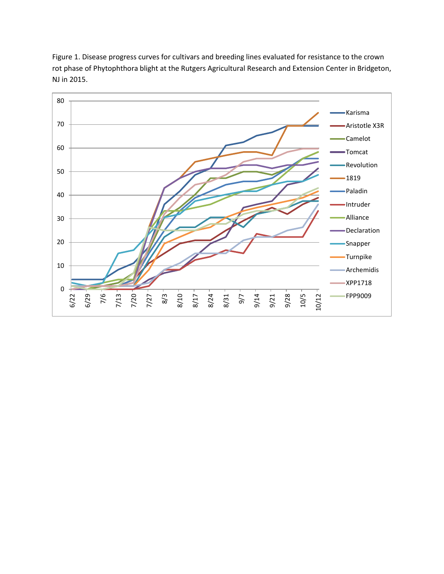

Figure 1. Disease progress curves for cultivars and breeding lines evaluated for resistance to the crown rot phase of Phytophthora blight at the Rutgers Agricultural Research and Extension Center in Bridgeton, NJ in 2015.